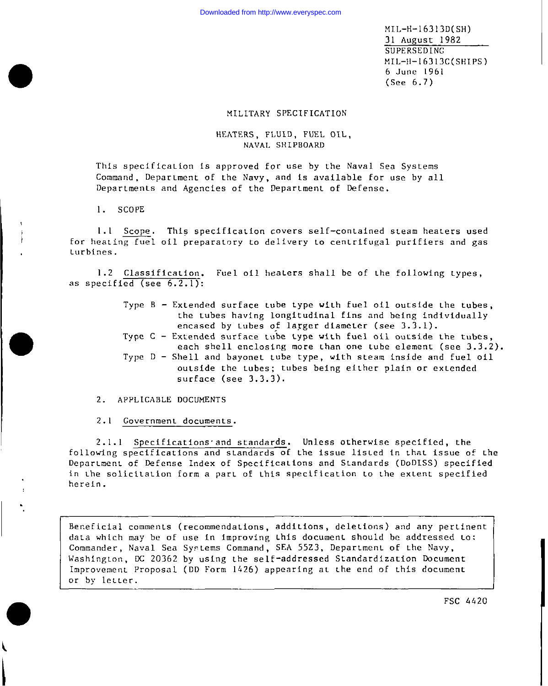$MIL-H-16313D(SH)$ 31 August 1982 SUPERSEDING  $ML-H-16313C(SHIPS)$ 6 June 1961  $(See 6.7)$ 

## MILITARY SPECIFICATION

# HEATERS, FLUID, FUEL OIL, NAVAL SHIPBOARD

This specification is approved for use by the Naval Sea Systems Command, Department of the Navy, and is available for use by all Departments and Agencies of the Department of Defense.

1. SCOPE

1.1 Scope. This specification covers self-contained steam heaters used for heating fuel oil preparatory to delivery to centrifugal purifiers and gas turbines.

1.2 Classification. Fuel oil heaters shall be of the following types, as specified (see  $6.2.1$ ):

> Type  $B - Extended surface tube type with fuel oil outside the tubes,$ the tubes having longitudinal fins and being individually encased by tubes of larger diameter (see 3.3.1). Type  $C -$  Extended surface tube type with fuel oil outside the tubes. each shell enclosing more than one tube element (see  $3.3.2$ ). Type D - Shell and bayonet tube type, with steam inside and fuel oil outside the tubes; tubes being either plain or extended  $surface (see 3.3.3).$

2. APPLICABLE DOCUMENTS

2.1 Government documents.

2.1.1 Specifications and standards. Unless otherwise specified, the following specifications and standards of the issue listed in that issue of the Department of Defense Index of Specifications and Standards (DoDISS) specified in the solicitation form a part of this specification to the extent specified herein.

Beneficial comments (recommendations, additions, deletions) and any pertinent data which may be of use in improving this document should be addressed to: Commander, Naval Sea Systems Command, SEA 5523, Department of the Navy, Washington, DC 20362 by using the self-addressed Standardization Document Improvement Proposal (DD Form 1426) appearing at the end of this document or by letter. FSC 4420

Ber.eficial coum!enLs (recommendations, addi Lions, dele Lions) and any per Linent

FSC 4420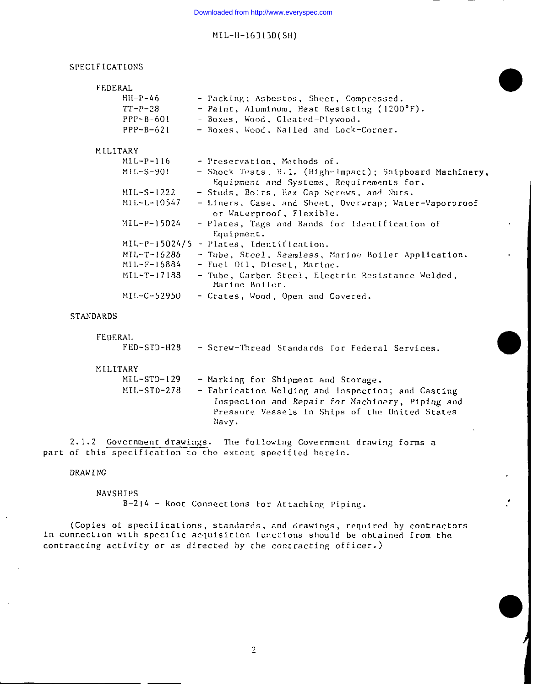#### SPECIFICATIONS

| FEDERAL  |                 |                                                                                                     |
|----------|-----------------|-----------------------------------------------------------------------------------------------------|
|          | $HH - P - 46$   | - Packing; Asbestos, Sheet, Compressed.                                                             |
|          | $TT-P-28$       | - Paint, Aluminum, Heat Resisting (1200°F).                                                         |
|          | $PPP-B-601$     | - Boxes, Wood, Cleated-Plywood.                                                                     |
|          | $PPP - B - 621$ | - Boxes, Wood, Nailed and Lock-Corner.                                                              |
| MILITARY |                 |                                                                                                     |
|          | MIL-P-116       | - Preservation, Methods of.                                                                         |
|          | $MIL-S-901$     | - Shock Tests, H.I. (High-Impact); Shipboard Machinery,<br>Equipment and Systems, Requirements for. |
|          | $MIL-S-1222$    | - Studs, Bolts, Hex Cap Screws, and Nuts.                                                           |
|          | MIL-L-10547     | - Liners, Case, and Sheet, Overwrap; Water-Vaporproof<br>or Waterproof, Flexible.                   |
|          | MIL-P-15024     | - Plates, Tags and Bands for Identification of<br>Equipment.                                        |
|          |                 | MIL-P-15024/5 - Plates, Identification.                                                             |
|          | MIL-T-16286     | - Tube, Steel, Seamless, Marine Boiler Application.                                                 |
|          | MIL-F-16884     | - Fuel Oil, Diesel, Marine.                                                                         |
|          | MIL-T-17188     | - Tube, Carbon Steel, Electric Resistance Welded,<br>Marine Boiler.                                 |
|          | MIL-C-52950     | - Crates, Wood, Open and Covered.                                                                   |

# **STANDARDS**

| FEDERAL<br>FED-STD-H28 | - Screw-Thread Standards for Federal Services,                                                                                                                  |
|------------------------|-----------------------------------------------------------------------------------------------------------------------------------------------------------------|
| MILITARY               |                                                                                                                                                                 |
| $ML-STD-129$           | - Marking for Shipment and Storage.                                                                                                                             |
| $ML-STD-278$           | - Fabrication Welding and Inspection; and Casting<br>Inspection and Repair for Machinery, Piping and<br>Pressure Vessels in Ships of the United States<br>Navy. |

2.1.2 Government drawings. The following Government drawing forms a part of this specification to the extent specified herein.

**DRAWING** 

NAVSHIPS B-214 - Root Connections for Attaching Piping.

(Copies of specifications, standards, and drawings, required by contractors in connection with specific acquisition functions should be obtained from the contracting activity or as directed by the contracting officer.)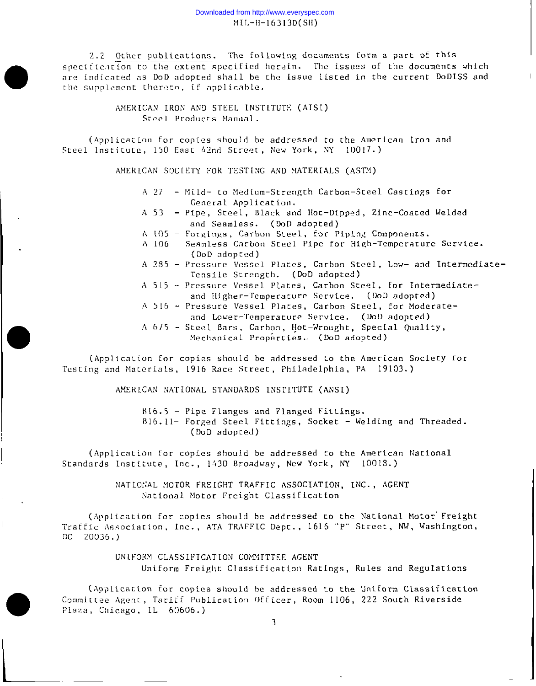## Downloaded from http://www.everyspec.com  $ML-H-16313D(SH)$

2.2 Other publications. The following documents form a part of this specification to the extent specified herein. The issues of the documents which are indicated as DoD adopted shall be the issue listed in the current DoDISS and the supplement thereto, if applicable.

> AMERICAN IRON AND STEEL INSTITUTE (AISI) Steel Products Manual.

(Application for copies should be addressed to the American Iron and Steel Institute, 150 East 42nd Street, New York, NY 10017.)

AMERICAN SOCIETY FOR TESTING AND MATERIALS (ASTM)

- A 27 Mild- to Medium-Strength Carbon-Steel Castings for General Application.
- A 53 Pipe, Steel, Black and Hot-Dipped, Zinc-Coated Welded and Seamless. (DoD adopted)
- A 105 Forgings, Carbon Steel, for Piping Components.
- A 106 Seamless Carbon Steel Pipe for High-Temperature Service. (DoD adopted)
- A 285 Pressure Vessel Plates, Carbon Steel, Low- and Intermediate-Tensile Strength. (DoD adopted)
- A 515 Pressure Vessel Plates, Carbon Steel, for Intermediateand Higher-Temperature Service. (DoD adopted)
- A 516 Pressure Vessel Plates, Carbon Steel, for Moderateand Lower-Temperature Service. (DoD adopted)
- A 675 Steel Bars, Carbon, Hot-Wrought, Special Quality, Mechanical Properties. (DoD adopted)

(Application for copies should be addressed to the American Society for Testing and Materials, 1916 Race Street, Philadelphia, PA 19103.)

AMERICAN NATIONAL STANDARDS INSTITUTE (ANSI)

B16.5 - Pipe Flanges and Flanged Fittings. B16.11- Forged Steel Fittings, Socket - Welding and Threaded. (DoD adopted)

(Application for copies should be addressed to the American National Standards Institute, Inc., 1430 Broadway, New York, NY 10018.)

> NATIONAL MOTOR FREIGHT TRAFFIC ASSOCIATION, INC., AGENT National Motor Freight Classification

(Application for copies should be addressed to the National Motor Freight Traffic Association, Inc., ATA TRAFFIC Dept., 1616 "P" Street, NW, Washington,  $DC 20036.)$ 

> UNIFORM CLASSIFICATION COMMITTEE AGENT Uniform Freight Classification Ratings, Rules and Regulations

(Application for copies should be addressed to the Uniform Classification Committee Agent, Tariff Publication Officer, Room 1106, 222 South Riverside Plaza, Chicago, IL 60606.)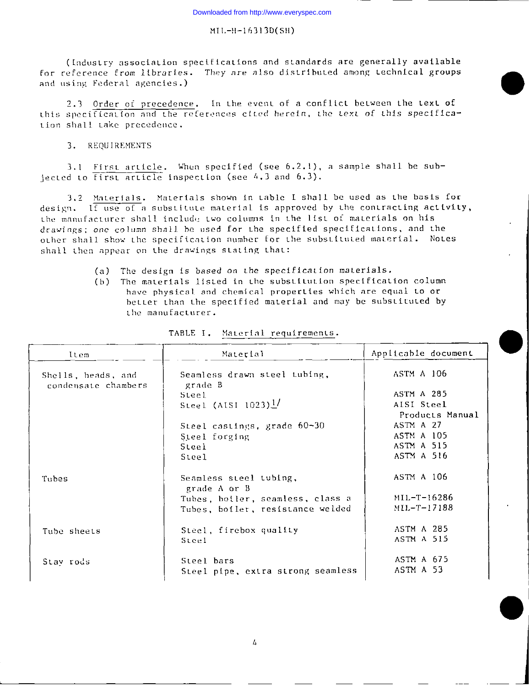(Industry association specifications and standards are generally available for reference from libraries. They are also distributed among technical groups and using Federal agencies.)

2.3 Order of precedence. In the event of a conflict between the text of this specification and the references cited herein, the text of this specification shall take precedence.

3. REQUIREMENTS

3.1 First article. When specified (see 6.2.1), a sample shall be subiected to  $first$  article inspection (see  $4.3$  and  $6.3$ ).

3.2 Materials. Materials shown in table I shall be used as the basis for design. If use of a substitute material is approved by the contracting activity, the manufacturer shall include two columns in the list of materials on his drawings; one column shall be used for the specified specifications, and the other shall show the specification number for the substituted material. Notes shall then appear on the drawings stating that:

> The design is based on the specification materials.  $(a)$

(b) The materials listed in the substitution specification column have physical and chemical properties which are equal to or better than the specified material and may be substituted by the manufacturer.

| Item                                      | Material                                | Applicable document           |
|-------------------------------------------|-----------------------------------------|-------------------------------|
| Shells, heads, and<br>condensate chambers | Seamless drawn steel tubing,<br>grade B | ASTM A 106                    |
|                                           | Steel                                   | ASTM A 285                    |
|                                           | Steel (AISI $1023$ ) <sup>1</sup> /     | AISI Steel<br>Products Manual |
|                                           | Steel castings, grade 60-30             | ASTM A 27                     |
|                                           | Steel forging                           | ASTM A 105                    |
|                                           | Steel                                   | ASTM A 515                    |
|                                           | Steel                                   | ASTM A 516                    |
| Tubes                                     | Seamless steel tubing,<br>grade A or B  | ASTM A 106                    |
|                                           | Tubes, boiler, seamless, class a        | $MIL-T-16286$                 |
|                                           | Tubes, boiler, resistance welded        | $MIL-T-17188$                 |
| Tube sheets                               | Steel, firebox quality                  | <b>ASTM A 285</b>             |
|                                           | Steel                                   | <b>ASTM A 515</b>             |
| Stay rods                                 | Steel bars                              | ASTM A 675                    |
|                                           | Steel pipe, extra strong seamless       | ASTM A 53                     |

TABLE I. Material requirements.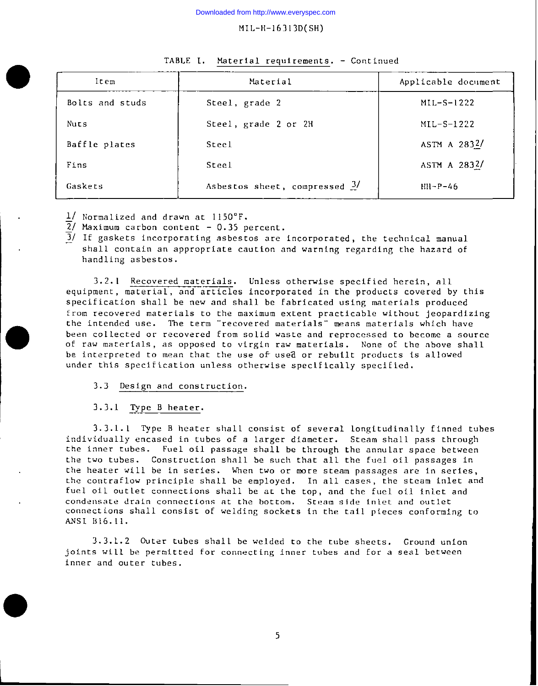| ltem            | Material                                 | Applicable document |
|-----------------|------------------------------------------|---------------------|
| Bolts and studs | Steel, grade 2                           | $MIL-S-1222$        |
| Nuts            | Steel, grade 2 or 2H                     | $MIL-S-1222$        |
| Baffle plates   | Steel                                    | ASTM A 2832/        |
| Fins            | Steel                                    | ASTM A 2832/        |
| Gaskets         | Asbestos sheet, compressed $\frac{3}{2}$ | $HH-P-46$           |

#### TABLE I. Material requirements. - Continued

 $1/$  Normalized and drawn at 1150°F.

 $\overline{2}$ / Maximum carbon content - 0.35 percent.

 $\overline{3}$ / If gaskets incorporating asbestos are incorporated, the technical manual shall contain an appropriate caution and warning regarding the hazard of handling asbestos.

3.2.1 Recovered materials. Unless otherwise specified herein, all equipment, material, and—articles incorporated in the products covered by this specification shall be new and shall be fabricated using materials produced from recovered materials to the maximum extent practicable without jeopardizing the intended use. The term "recovered materials" means materials which have been collected or recovered from solid waste and reprocessed to become a source of raw materials , as opposed to virgin raw materials. None of the above shall be interpreted to mean that the use of used or rebuilt products is allowed under this specification unless otherwise specifically specified.

## 3.3 Design and construction.

3 .3.1 Type B heater.

●

3. 3.1.1 Type B heater shall consist of several longitudinally finned tubes individually encased in tubes of a larger diameter. Steam shall pass through the inner tubes. Fuel oil passage shall be through the annular space between the two tubes. Construction shall be such that all the fuel oil passages in the heater will be in series. When two or more steam passages are in series, the contraflow principle shall be employed. In all cases, the steam inlet and fuel oil outlet connections shall be at the top, and the fuel oil inlet and condensate drain connections at the bottom. Steam side inlet and outlet connections shall consist of welding sockets in the tail pieces conforming to ANSI B16.11.

3. 3.1.2 outer tubes shall be welded to the tube sheets. Ground union joints will be permitted for connecting inner tubes and for a seal between inner and outer tubes.

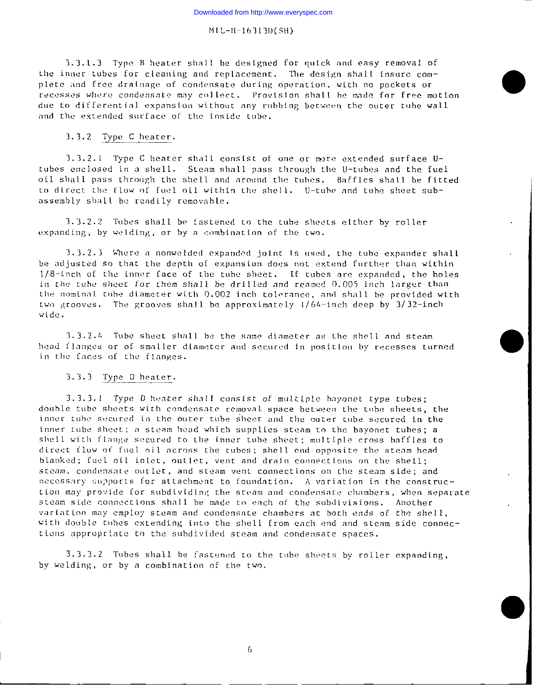3.3.1.3 Type B heater shall be designed for quick and easy removal of the inner tubes for cleaning and replacement. The design shall insure complete and free drainage of condensate during operation, with no pockets or recesses where condensate may collect. Provision shall be made for free motion due to differential expansion without any rubbing between the outer tube wall and the extended surface of the inside tube.

#### $3.3.2$  Type C heater.

3.3.2.1 Type C heater shall consist of one or more extended surface Utubes enclosed in a shell. Steam shall pass through the U-tubes and the fuel oil shall pass through the shell and around the tubes. Baffles shall be fitted to direct the flow of fuel oil within the shell. U-tube and tube sheet subassembly shall be readily removable.

3.3.2.2 Tubes shall be fastened to the tube sheets either by roller expanding, by welding, or by a combination of the two.

3.3.2.3 Where a nonwelded expanded joint is used, the tube expander shall be adjusted so that the depth of expansion does not extend further than within 1/8-inch of the inner face of the tube sheet. If tubes are expanded, the holes in the tube sheet for them shall be drilled and reamed 0.005 inch larger than the nominal tube diameter with 0.002 inch tolerance, and shall be provided with two grooves. The grooves shall be approximately 1/64-inch deep by 3/32-inch wide.

3.3.2.4 Tube sheet shall be the same diameter as the shell and steam head flanges or of smaller diameter and secured in position by recesses turned in the faces of the flanges.

## 3.3.3 Type D heater.

3.3.3.1 Type D heater shall consist of multiple bayonet type tubes; double tube sheets with condensate removal space between the tube sheets, the inner tube secured in the outer tube sheet and the outer tube secured in the inner tube sheet; a steam head which supplies steam to the bayonet tubes; a shell with flange secured to the inner tube sheet; multiple cross baffles to direct flow of fuel oil across the tubes; shell end opposite the steam head blanked; fuel oil inlet, outlet, vent and drain connections on the shell; steam, condensate outlet, and steam vent connections on the steam side; and necessary supports for attachment to foundation. A variation in the construction may provide for subdividing the steam and condensate chambers, when separate steam side connections shall be made to each of the subdivisions. Another variation may employ steam and condensate chambers at both ends of the shell, with double tubes extending into the shell from each end and steam side connections appropriate to the subdivided steam and condensate spaces.

3.3.3.2 Tubes shall be fastened to the tube sheets by roller expanding, by welding, or by a combination of the two.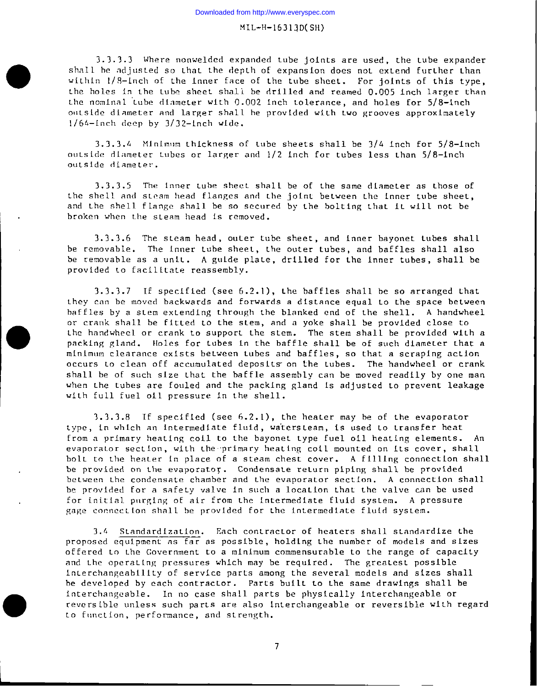3.3.3.3 Where nonwelded expanded tube joints are used, the tube expander shall be adjusted so that the depth of expansion does not extend further than within 1/8-inch of the inner face of the tube sheet. For joints of this type, the holes in the tube sheet shall be drilled and reamed  $0.005$  inch larger than the nominal tube diameter with 0.002 inch tolerance, and holes for 5/8-inch outside diameter and larger shall be provided with two grooves approximately  $1/64-1$ nch deep by  $3/32-1$ nch wide.

 $3.3.3.4$  Minimum thickness of tube sheets shall be  $3/4$  inch for  $5/8\textrm{--}$ inc $^\dagger$ outside diameter tubes or larger and 1/2 inch for tubes less than 5/8—inc ouL side diame Ler.

3.3.3.5 The inner tube sheet shall be of the same diameter as those of the shell and steam head flanges and the joint between the inner tube sheet and the shell flange shall be so secured by the bolting that it will not be broken when Lbe sLeam head is removed.

3.3.3.6 The steam head, outer tube sheet, and inner bayonet tubes shall be removable. The inner tube sheet, the outer tubes, and baffles shall also be removable as a unit. A guide plate, drilled for the inner tubes, shall be provided Lo facilitate reassembly.

3.3.3.7 If specified (see 6.2.1), the baffles shall be so arranged that they can be moved backwards and forwards a distance equal to the space between baffles by a sLem exLending Lhrough Lbe blanked end of Lhe shell. A handwheel or crank shall be fitted to the stem, and a yoke shall be provided close to the handwheel or crank to support the stem. The stem shall be provided with a packing gland. Holes for tubes in the baffle shall be of such diameter that a minimum clearance exists between tubes and baffles, so that a scraping action occurs Lo clean off accumulated deposits on the Lubes. The handwheel or crank shall be of such size Lhat the baffle assembly can be moved readily by one man when the tubes are fouled and the packing gland is adjusted to prevent leakage with full fuel oil pressure in the shell.

3.3.3.8 If specified (see  $6.2.1$ ), the heater may be of the evaporator type, in which an intermediate fluid, watersteam, is used to transfer heat from a primary heating coil to the bayonet type fuel oil heating elements. An evaporator section, with the primary heating coil mounted on its cover, shall bolt to the heater in place of a steam chest cover. A filling connection shall be provided on the evaporator. Condensate return piping shall be provided between Lhe condensate chamber and Lhe evaporator section. A connection shall be provided for a safety valve in such a location that the valve can be used for initial purging of air from the intermediate fluid system. A pressure gage connection shall be provided for the intermediate fluid system.

3.4 Standardization. Each contractor of heaters shall standardize the proposed equipment as far as possible, holding Lhe number of models and sizes offered to the Government to a minimum commensurable to the range of capacity and the operating pressures which may be required. The greatest possible interchangeability of service parts among the several models and sizes shall be developed by each contractor. Parts built to the same drawings shall be interchangeable. In no case shall parts be physically interchangeable or reversible unless such parts are also interchangeable or reversible with regard to function, performance, and strength.

 $\overline{7}$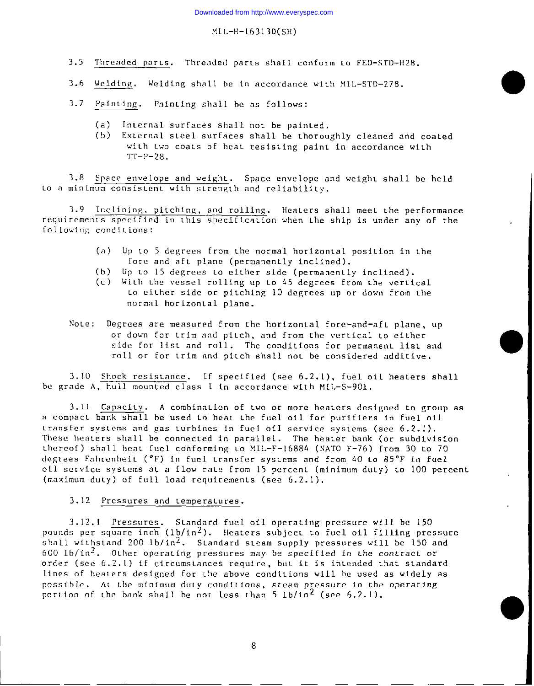- 3.5 Threaded parts. Threaded parts shall conform to FED-STD-H28.
- 3.6 Wel<u>ding</u>. Welding shall be in accordance with MIL-STD-27
- 3.7 Pain Ling. Pain Ling shall be as follows:
	- (a) Internal surfaces shall not be painted.
	- (b) Fxternal sLeel surfaces shall be thoroughly cleaned and coated with two coats of heat resisting paint in accordance with  $TT-P-28.$

3.8 Space envelope and weight. Space envelope and weight shall be held Lo a minimum consistent with strength and reliability.

3.9 Inclining, pitching, and rolling. Heaters shall meet the performance requirements specified in this specification when the ship is under any of the following conditions:

- (a) Up LO 5 degrees from Lhe normal horizontal position in Lhe fore and aft plane (permanently inclined).
- (b) Up to 15 degrees to either side (permanently inclined).
- (c) WiLh Lhe \,essel rolling up LO 45 degrees from Lhe vertical Lo eiLher side or pitching 10 degrees up or down from the nornal horizontal plane.
- Note: Degrees are measured from the horizontal fore-and-aft plane, up or down for trim and pitch, and from the vertical to either side for list and roll. The conditions for permanent list and roll or for trim and pitch shall not be considered additive.

o

3.10 Shock resistance. If specified (see  $6.2.1$ ), fuel oil heaters shall be grade A, hull mounted class I in accordance with MIL-S-901.

3.11 Capacity. A combination of two or more heaters designed to group as a compact bank shall be used to heat the fuel oil for purifiers in fuel oil transfer systems and gas turbines in fuel oil service systems (see 6.2.1). These heaters shall be connected in parallel. The heater bank (or subdivision thereof) shall heat fuel conforming to  $MIL-F-16884$  (NATO F-76) from 30 to 70 degrees Fahrenheit ( $^{\circ}$ F) in fuel transfer systems and from 40 to 85 $^{\circ}$ F in fuel oil service systems at a flow rate from 15 percent (minimum duty) to 100 percent (maximum duty) of full load requirements (see  $6.2.1$ ).

### 3.12 Pressures and Lemperatures.

3.12.1 Pressures. Standard fuel oil operating pressure will be 150 pounds per square inch (lb/in4). Heaters subject to fuel oil filling pressur shall withstand 200  $1b/1n^2$ . Standard steam supply pressures will be 150 and 600  $1b/in^2$ . Other operating pressures may be specified in the contract or order (see 6.2.1) if circumstances require, but it is intended that standard lines of heaters designed for the above conditions will be used as widely as possible. At the minimum duty conditions, steam pressure in the operating portion of the bank shall be not less than  $5 \frac{1b}{in^2}$  (see 6.2.1).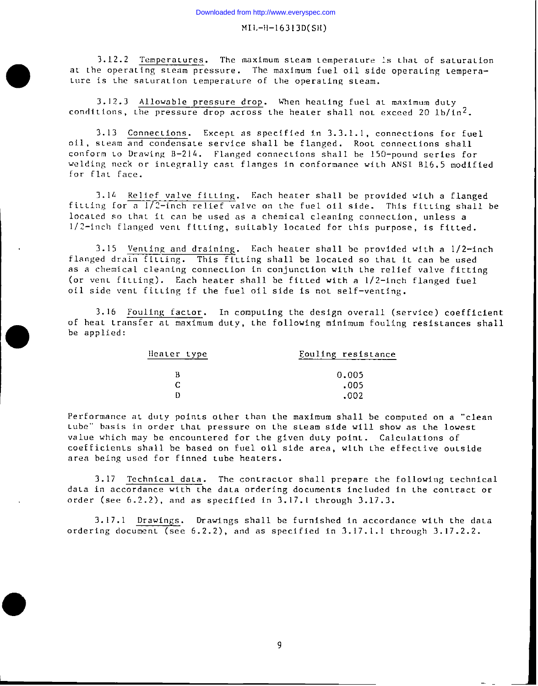3.12.2 Temperatures. The maximum steam temperature is that of saturation at the operating steam pressure. The maximum fuel oil side operating temperature is the saturation temperature of the operating steam.

3.12.3 Allowable pressure drop. When heating fuel at maximum duty conditions, the pressure drop across the heater shall not exceed 20  $1b/in^2$ .

 $\bullet$ 

●

3.13 Connections. Except as specified in 3.3.1.1, connections for fuel oil, steam and condensate service shall be flanged. Root connections shall conform Lo Drawing B-214. Flanged connections shall be 150-pound series for welding neck or integrally cast flanges in conformance with ANSI B16.5 modified for flat face.

3.14 Relief valve fitting. Each heater shall be provided with a flanged fitting for a  $1/2$ -inch relief valve on the fuel oil side. This fitting shall be located so that it can be used as a chemical cleaning connection, unless a  $1/2$ -inch flanged vent fitting, suitably located for this purpose, is fitted.

3.15 Venting and draining. Each heater shall be provided with a  $1/2$ -inch flanged drain fitting. This fitting shall be located so that it can be used as a chemical cleaning connection in conjunction with Lhe relief valve fitting (or vent fitting). Each heater shall be fitted with a  $1/2$ -inch flanged fuel oil side vent fitting if the fuel oil side is not self-venting.

 $3.16$  Fouling factor. In computing the design overall (service) coefficient of heat transfer at maximum duty, the following minimum fouling resistances shall be applied:

| Heater type | Fouling resistance |
|-------------|--------------------|
|             | 0.005              |
|             | .005               |
|             | .002               |

Performance at duty points other than the maximum shall be computed on a "clean tube" basis in order that pressure on the steam side will show as the lowest value which may be encountered for the given duty point. Calculations of coefficients shall be based on fuel oil side area, with the effective outside area being used for finned Lube heaters.

3.17 Technical data. The contractor shall prepare the following technical data in accordance with the data ordering documents included in the contract or order (see  $6.2.2$ ), and as specified in  $3.17.1$  through  $3.17.3$ .

3.17.1 Drawings. Drawings shall be furnished in accordance with the data ordering document (see  $6.2.2$ ), and as specified in  $3.17.1.1$  through  $3.17.2.2.$ 

9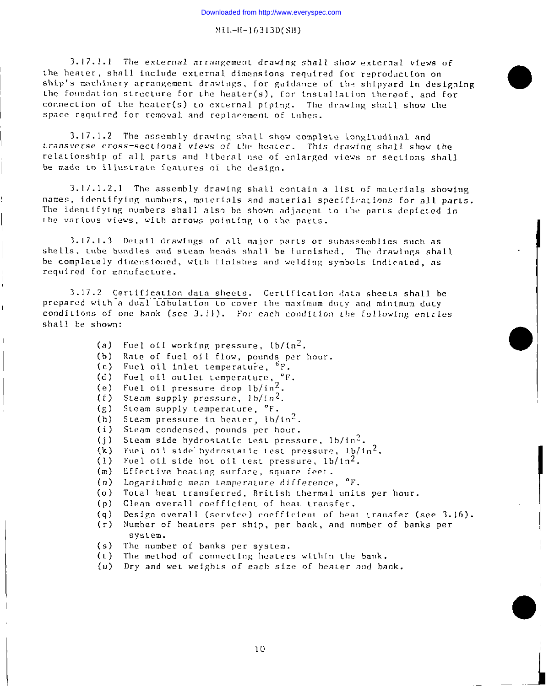3.17.1.1 The external arrangement drawing shall show external views of the heater, shall include external dimensions required for reproduction on ship's machinery arrangement drawings, for guidance of the shipyard in designing the foundation structure for the heater(s), for installation thereof, and for connection of the heater(s) to external piping. The drawing shall show the space required for removal and replacement of tubes.

3.17.1.2 The assembly drawing shall show complete longitudinal and transverse cross-sectional views of the heater. This drawing shall show the relationship of all parts and liberal use of enlarged views or sections shall be made to illustrate features of the design.

3.17.1.2.1 The assembly drawing shall contain a list of materials showing names, identifying numbers, materials and material specifications for all parts. The identifying numbers shall also be shown adjacent to the parts depicted in the various views, with arrows pointing to the parts.

3.17.1.3 Detail drawings of all major parts or subassemblies such as shells, tube bundles and steam heads shall be furnished. The drawings shall be completely dimensioned, with finishes and welding symbols indicated, as required for manufacture.

3.17.2 Certification data sheets. Certification data sheets shall be prepared with a dual tabulation to cover the maximum duty and minimum duty conditions of one bank (see 3.11). For each condition the following entries shall be shown:

- Fuel of I working pressure,  $1b/1n^2$ .  $(a)$
- $(b)$ Rate of fuel oil flow, pounds per hour.
- $(c)$ Fuel oil inlet temperature, <sup>6</sup>F.
- Fuel oil outlet temperature,  ${}^{\circ}F$ .<br>Fuel oil pressure drop  $1b/in^2$ .  $(d)$
- $(e)$
- $(f)$ Steam supply pressure,  $1b/1n^2$ .
- (g) Steam supply temperature, °F.
- $(h)$ Steam pressure in heater,  $1b/1n^2$ .
- $(i)$ Steam condensed, pounds per hour.
- Steam side hydrostatic test pressure,  $1b/1n^2$ .  $(j)$

Fuel oil side hydrostatic test pressure, lb/in<sup>2</sup>.  $(k)$ 

 $(1)$ Fuel oil side hot oil test pressure,  $1b/1n^2$ .

Effective heating surface, square feet.  $(m)$ 

 $(n)$ Logarithmic mean temperature difference, "F.

Total heat transferred, British thermal units per hour.  $(o)$ 

- Clean overall coefficient of heat transfer.  $(a)$
- $(q)$ Design overall (service) coefficient of heat transfer (see 3.16).
- (r) Number of heaters per ship, per bank, and number of banks per system.
- The number of banks per system.  $(s)$
- The method of connecting heaters within the bank.  $(L)$
- $(u)$ Dry and wet weights of each size of heater and bank.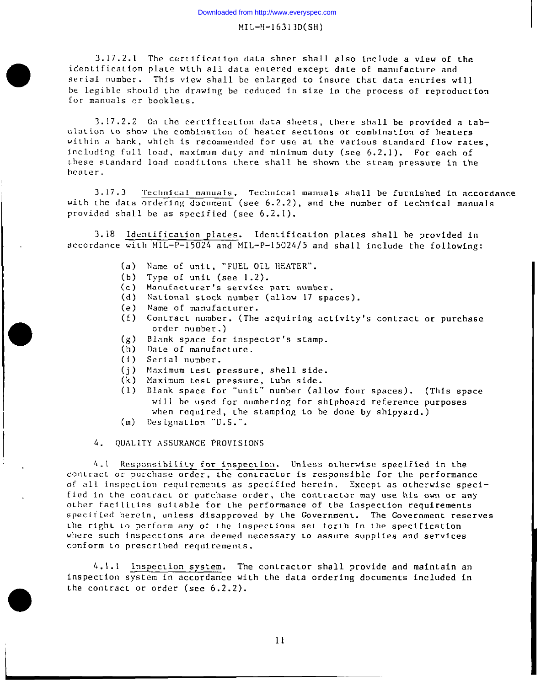#### MI L-H-16313 D(sH)

3.17.2.1 The certification data sheet shall also include a view of the identification plate with all data entered except date of manufacture and serial number. This view shall be enlarged to insure that data entries will be legible should the drawing be reduced in size in the process of reproduction for manuals or booklets.

 $3.17.2.2$  On the certification data sheets, there shall be provided a tabulation to show the combination of heater sections or combination of heaters within a bank, which is recommended for use at the various standard flow rates. including full load, maximum duty and minimum duty (see 6.2.1). For each of these standard load conditions there shall be shown the steam pressure in the hca Ler.

3.17.3 Technical manuals. Technical manuals shall be furnished in accordance with the data  $overing$  document (see 6.2.2), and the number of technical manuals provided shall be as specified (see 6.2.1).

3.18 Identification plates. Identification plates shall be provided in accordance with MIL-P-15024 and MIL-P-15024/5 and shall include the following

- (a) Name of unit, "FUEL OIL HEATER".
- $(b)$ Type of unit (see  $1.2$ ).
- $(c)$ ManufacLucer's service part number.
- (d) National stock number (allow 17 spaces).
- (e) Name of manufacturer.
- $(f)$ Contract number. (The acquiring activity's contract or purchase order number. )
- $(g)$ Blank space for inspector's stamp.
- (h) Date of manufacture.
- (i) Serial number.

●

- $(i)$ Maximum test pressure, shell side.
- (k) Maximum test pressure, tube side.
- (1) Blank space for "unit" number (allow four spaces). (This space will be used for numbering for shipboard reference purposes when required, the stamping to be done by shipyard.)
- (m) Designation "U.S.".

4. QUALITY ASSURANCE PROVISIONS

4.1 Responsibility for inspection. Unless otherwise specified in the contract or purchase order, the contractor is responsible for the performance of all inspection requirements as specified herein. Except as otherwise specified in the contract or purchase order, the contractor may use his own or any other facilities suitable for the performance of the inspection requirements specified herein, unless disapproved by the Government. The Government reserves the right to perform any of the inspections set forth in the specification where such inspections are deemed necessary to assure supplies and services conform to prescribed requirements.

4.1.1 Inspection system. The contractor shall provide and maintain an inspection system in accordance with the data ordering documencs included in the contract or order (see  $6.2.2$ ).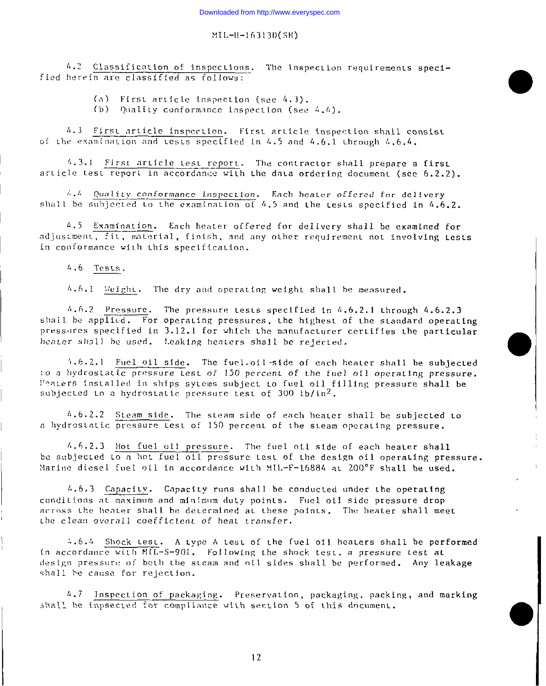4.2 Classification of inspections. The inspection requirements specified herein are classified as follows:

(a) First article inspection (see 4.3).

(b) Quality conformance inspection (see 4.4).

4.3 First article inspection. First article inspection shall consist of the examination and tests specified in 4.5 and 4.6,1 through 4.6.4.

4.3.1 First article test report. The contractor shall prepare a first article test report in accordance with the data ordering document (see 6.2.2).

 $\ddot{a}$ .  $4$  Quality conformance inspection. Each heater offered for delivery shall be subjected to the examination of 4.5 and the tests specified in 4.6.2.

4.5 Examination. Each heater offered for delivery shall be examined for adjustment, fit, material, finish, and any other requirement not involving tests in conformance with this specification.

4.6 Tests.

4.6.1 Weight. The dry and operating weight shall be measured.

 $4.6.2$  Pressure. The pressure tests specified in  $4.6.2.1$  through  $4.6.2.3$ shall be applied. For operating pressures, the highest of the standard operating pressures specified in 3.12.1 for which the manufacturer certifies the particular heater shall be used. Leaking heaters shall be rejected.

4.6.2.1 Fuel oil side. The fuel oil side of each heater shall be subjected to a hydrostatic pressure test of 150 percent of the fuel oil operating pressure. Peaters installed in ships sytems subject to fuel oil filling pressure shall be subjected to a hydrostatic pressure test of 300 1b/in<sup>2</sup>.

4.6.2.2 Steam side. The steam side of each heater shall be subjected to a hydrostatic pressure test of 150 percent of the steam operating pressure.

4.6.2.3 Hot fuel oil pressure. The fuel oil side of each heater shall be subjected to a hot fuel oil pressure test of the design oil operating pressure. Marine diesel fuel oil in accordance with MIL-F-16884 at 200°F shall be used.

4.6.3 Capacity. Capacity runs shall be conducted under the operating conditions at maximum and minimum duty points. Fuel oil side pressure drop across the heater shall be determined at these points. The heater shall meet the clean overall coefficient of heat transfer.

4.6.4 Shock test. A type A test of the fuel oil heaters shall be performed in accordance with MIL-S-901. Following the shock test, a pressure test at design pressure of both the steam and oil sides shall be performed. Any leakage shall be cause for rejection.

4.7 Inspection of packaging. Preservation, packaging, packing, and marking shall be inpsected for compliance with section 5 of this document.

 $12$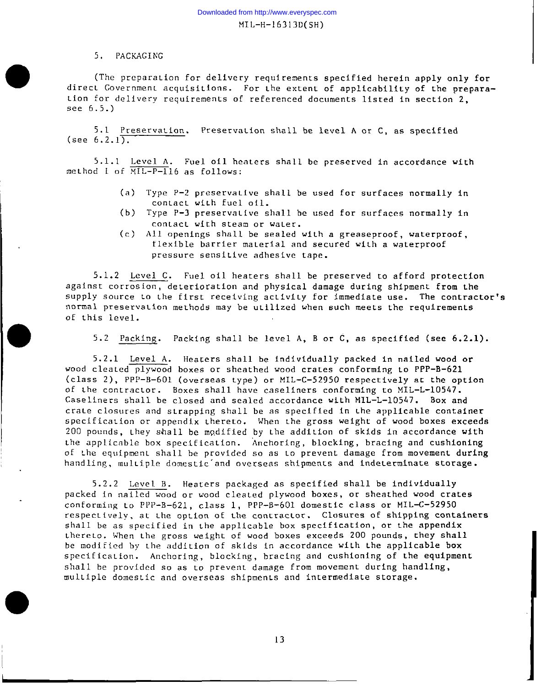# 5. PACKAGING

●

(The preparation for delivery requirements specified herein apply only for direct Government acquisitions. For the extent of applicability of the prepara tion for delivery requirements of referenced documents listed in section 2. see 6.5.)

5.1 Preservation. Preservation shall be level A or C, as specified (see  $6.2.1$ ).

5.1.1 Level A. Fuel oil heaters shall be preserved in accordance with method I of  $\overline{\text{ML-P-1}}$ 16 as follows:

- (a) Type P-2 preservative shall be used for surfaces normally in contact with fuel oil.
- (b) Type P-3 preservative shall be used for surfaces normally in contact with steam or water.
- (c) All openings shall be sealed wiLh a greaseproof, waterproof, flexible barrier material and secured with a waterproof pressure sensitive adhesive tape.

5.1.2 Level C. Fuel oil heaters shall be preserved to afford protection against corrosion, deterioration and physical damage during shipment from the supply source to the first receiving activity for immediate use. The contractor's normal preservation methods may be utilized when such meets the requirements of this level.

5.2 Packing. Packing shall be level A, B or C, as specified (see  $6.2.1$ ).

5. 2.1 Level A. Heaters shall be individually packed in nailed wood or wood cleated plywood boxes or sheathed wood crates conforming to PPP-B-621 (class 2), PPP-B-601 (overseas Lype) or MIL-c-52950 respectively ac the option of Lhe contractor. Boxes shall have caseliners conforming co MIL-L-10547. Caseliners shall be closed and sealed accordance with MIL-L-10547. Box and crate closures and strapping shall be as specified in the applicable container specification or appendix thereto. When the gross weight of wood boxes exceeds 200 pounds, they shall be modified by the addition of skids in accordance with the applicable box specification. Anchoring, blocking, bracing and cushioning of the equipment shall be provided so as to prevent damage from movement during handling, multiple domestic and overseas shipments and indeterminate storage.

5.2.2 Level B. Heaters packaged as specified shall be individually packed in nailed wood or wood cleated plywood boxes, or sheathed wood crates conforming to PPP-B-621, class 1, PPP-B-601 domestic class or MIL-C-52950 respectively, at the option of the contractor. Closures of shipping containers shall be as specified in the applicable box specification, or the appendix thereto. When the gross weight of wood boxes exceeds 200 pounds, they shall be modified by Lhe addition of skids in accordance wiLh Lhe applicable box specification. Anchoring, blocking, bracing and cushioning of the equipment shall be provided so as to prevent damage from movement during handling, multiple domestic and overseas shipments and intermediate storage.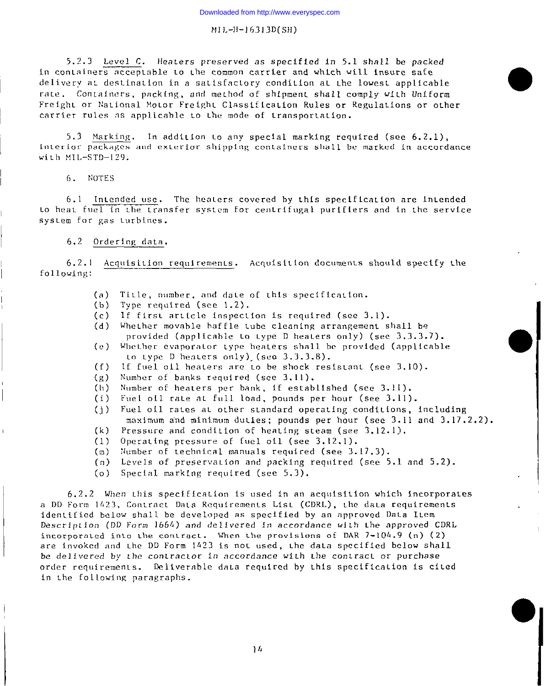5.2.3 Level C. Heaters preserved as specified in 5.1 shall be packed in containers acceptable to the common carrier and which will insure safe delivery at destination in a satisfactory condition at the lowest applicable rate. Containers, packing, and method of shipment shall comply with Uniform Freight or National Motor Freight Classification Rules or Regulations or other carrier rules as applicable to the mode of transportation.

5.3 Marking. In addition to any special marking required (see 6.2.1). interior packages and exterior shipping containers shall be marked in accordance with MIL-STD-129.

6. NOTES

6.1 Intended use. The heaters covered by this specification are intended to heat fuel in the transfer system for centrifugal purifiers and in the service system for gas turbines.

# 6.2 Ordering data.

6.2.1 Acquisition requirements. Acquisition documents should specify the following:

- Title, number, and date of this specification.  $(a)$
- Type required (see 1.2).  $(b)$
- If first article inspection is required (see 3.1).  $(c)$
- Whether movable baffle tube cleaning arrangement shall be  $(d)$ provided (applicable to type D heaters only) (see 3.3.3.7).
- $(n)$ Whether evaporator type heaters shall be provided (applicable to type D heaters only) (see  $3.3.3.8$ ).
- $(f)$ If fuel oil heaters are to be shock resistant (see 3.10).
- Number of banks required (see 3.11).  $(g)$
- Number of heaters per bank, if established (see 3.11).  $(h)$
- Fuel oil rate at full load, pounds per hour (see 3.11).  $(i)$
- Fuel oil rates at other standard operating conditions, including  $(i)$ maximum and minimum duties; pounds per hour (see 3.11 and 3.17.2.2).
- $(k)$ Pressure and condition of heating steam (see 3.12.1).
- Operating pressure of fuel oil (see 3.12.1).  $(1)$
- $(m)$ Number of technical manuals required (see 3.17.3).
- $(n)$  Levels of preservation and packing required (see 5.1 and 5.2).
- (o) Special marking required (see 5.3).

6.2.2 When this specification is used in an acquisition which incorporates a DD Form 1423, Contract Data Requirements List (CDRL), the data requirements identified below shall be developed as specified by an approved Data Item Description (DD Form 1664) and delivered in accordance with the approved CDRL incorporated into the contract. When the provisions of DAR 7-104.9 (n) (2) are invoked and the DD Form 1423 is not used, the data specified below shall be delivered by the contractor in accordance with the contract or purchase order requirements. Deliverable data required by this specification is cited in the following paragraphs.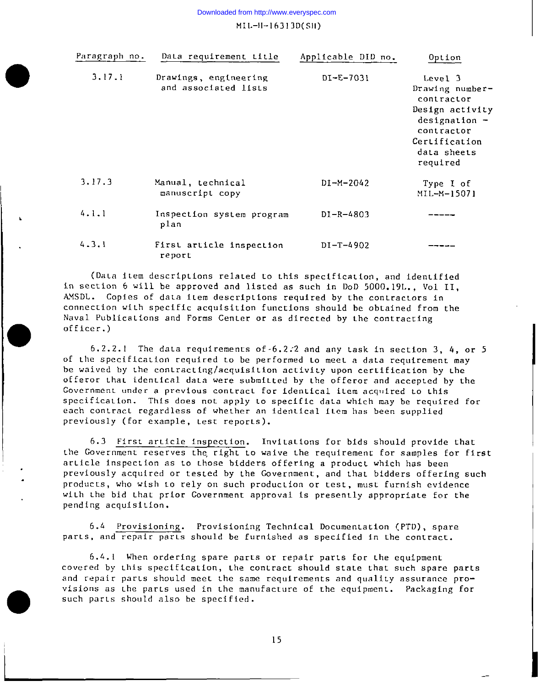Downloaded from http://www.everyspec.com

 $ML-H-16313D(SH)$ 

| Paragraph no. | Data requirement title                        | Applicable DID no. | Option                                                                                                                                   |
|---------------|-----------------------------------------------|--------------------|------------------------------------------------------------------------------------------------------------------------------------------|
| 3.17.1        | Drawings, engineering<br>and associated lists | DI-E-7031          | Level 3<br>Drawing number-<br>contractor<br>Design activity<br>$designation -$<br>contractor<br>Certification<br>data sheets<br>required |
| 3.17.3        | Manual, technical<br>manuscript copy          | $DI-M-2042$        | Type I of<br>MIL-M-15071                                                                                                                 |
| 4.1.1         | Inspection system program<br>plan             | $DI - R - 4803$    |                                                                                                                                          |
| 4.3.1         | First article inspection<br>report            | $DI - T - 4902$    |                                                                                                                                          |

(Data item descriptions related to this specification, and identified in section 6 will be approved and listed as such in DoD 5000. 19L. , Vol II, AMSDL. Copies of data item descriptions required by the contractors in connection with specific acquisition functions should be obtained from the Naval Publications and Forms Center or as directed by the contracting of fice r.)

b

●

●

l<br>L

 $6.2.2.1$  The data requirements of  $6.2.2$  and any task in section 3, 4, or 5 of the specification required to be performed to meet a data requirement may be waived by the contracting/acquisition activity upon certification by the offeror that identical data were submitted by the offeror and accepted by the Government under a previous contract for identical item acquired to this specification. This does not apply to specific data which may be required for each contract regardless of whether an identical item has been supplied previously (for example, test reports).

6.3 First article inspection. Invitations for bids should provide that Lhe Government reserves the, right Lo waive Lhe requirement for samples for first article inspection as to those bidders offering a product which has been previously acquired or tested by the Government, and that bidders offering such products, who wish 10 rely on such production or test, muse furnish evidence with the bid that prior Government approval is presently appropriate for the pending acquisition.

6.4 Provisioning. Provisioning Technical Documentation (PTD), spare parts, and repair parts should be furnished as specified in the contract.

6.4.1 When ordering spare parts or repair parts for the equipmen covered by Lhis specification, Lhe contracc should state that such spare parts and repair parts should meet the same requirements and quality assurance provisions as the parts used in the manufacture of the equipment. Packaging for **such par Ls** shou Ld also be specified.

15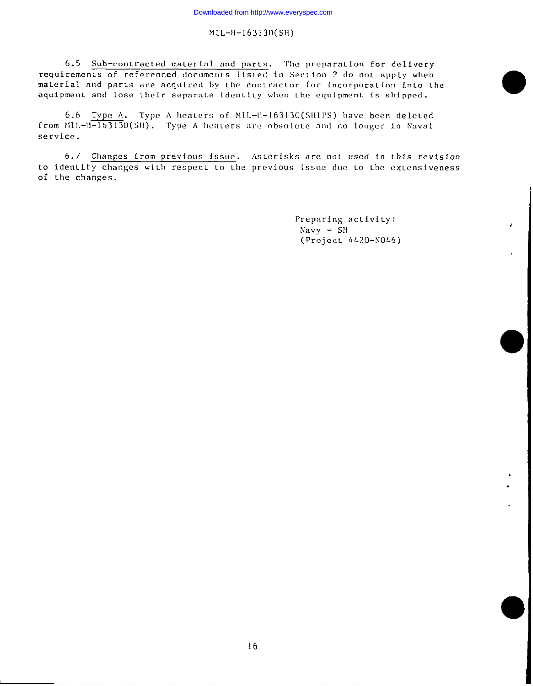6.5 Sub-contracted material and parts. The preparation for delivery requirements of referenced documents listed in Section 2 do not apply when material and parts are acquired by the contractor for incorporation into the equipment and lose their separate identity when the equipment is shipped.

6.6 Type A. Type A heaters of MIL-H-16313C(SHIPS) have been deleted from MIL-H-16313D(SH). Type A heaters are obsolete and no longer in Naval service.

6.7 Changes from previous issue. Asterisks are not used in this revision to identify changes with respect to the previous issue due to the extensiveness of the changes.

> Preparing activity:  $Navy - SH$ (Project 4420-N046)

J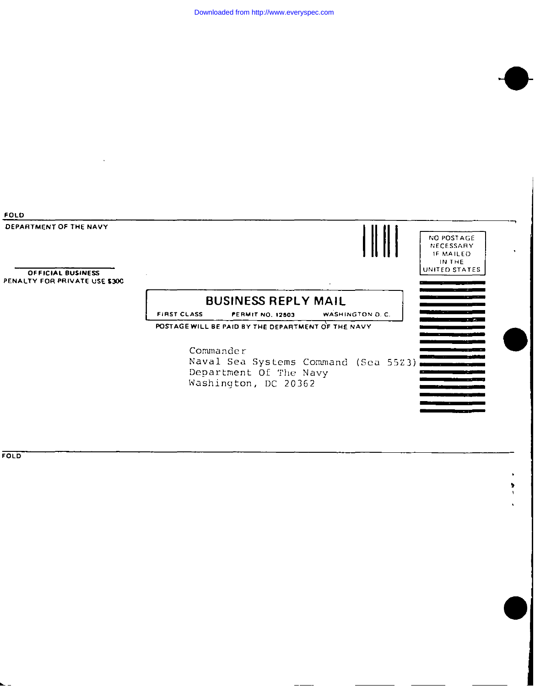